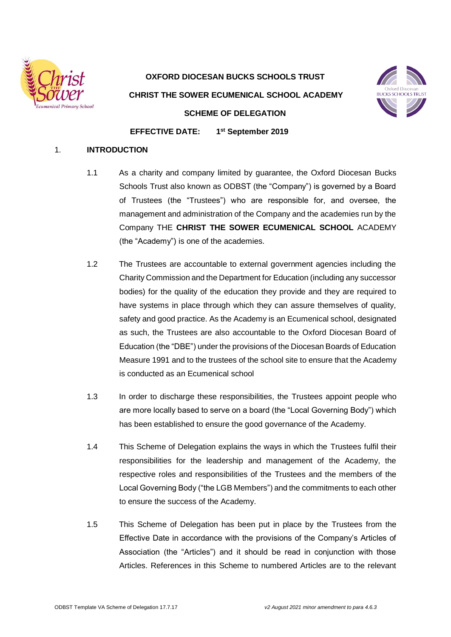

**OXFORD DIOCESAN BUCKS SCHOOLS TRUST CHRIST THE SOWER ECUMENICAL SCHOOL ACADEMY SCHEME OF DELEGATION**



**EFFECTIVE DATE: 1 st September 2019** 

# 1. **INTRODUCTION**

- 1.1 As a charity and company limited by guarantee, the Oxford Diocesan Bucks Schools Trust also known as ODBST (the "Company") is governed by a Board of Trustees (the "Trustees") who are responsible for, and oversee, the management and administration of the Company and the academies run by the Company THE **CHRIST THE SOWER ECUMENICAL SCHOOL** ACADEMY (the "Academy") is one of the academies.
- 1.2 The Trustees are accountable to external government agencies including the Charity Commission and the Department for Education (including any successor bodies) for the quality of the education they provide and they are required to have systems in place through which they can assure themselves of quality, safety and good practice. As the Academy is an Ecumenical school, designated as such, the Trustees are also accountable to the Oxford Diocesan Board of Education (the "DBE") under the provisions of the Diocesan Boards of Education Measure 1991 and to the trustees of the school site to ensure that the Academy is conducted as an Ecumenical school
- 1.3 In order to discharge these responsibilities, the Trustees appoint people who are more locally based to serve on a board (the "Local Governing Body") which has been established to ensure the good governance of the Academy.
- 1.4 This Scheme of Delegation explains the ways in which the Trustees fulfil their responsibilities for the leadership and management of the Academy, the respective roles and responsibilities of the Trustees and the members of the Local Governing Body ("the LGB Members") and the commitments to each other to ensure the success of the Academy.
- 1.5 This Scheme of Delegation has been put in place by the Trustees from the Effective Date in accordance with the provisions of the Company's Articles of Association (the "Articles") and it should be read in conjunction with those Articles. References in this Scheme to numbered Articles are to the relevant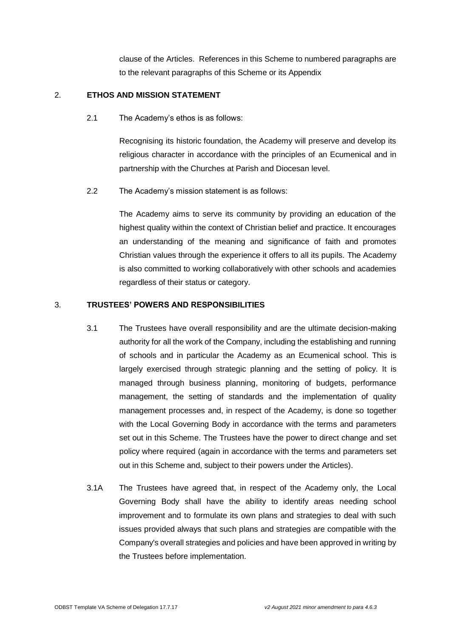clause of the Articles. References in this Scheme to numbered paragraphs are to the relevant paragraphs of this Scheme or its Appendix

# 2. **ETHOS AND MISSION STATEMENT**

2.1 The Academy's ethos is as follows:

Recognising its historic foundation, the Academy will preserve and develop its religious character in accordance with the principles of an Ecumenical and in partnership with the Churches at Parish and Diocesan level.

2.2 The Academy's mission statement is as follows:

The Academy aims to serve its community by providing an education of the highest quality within the context of Christian belief and practice. It encourages an understanding of the meaning and significance of faith and promotes Christian values through the experience it offers to all its pupils. The Academy is also committed to working collaboratively with other schools and academies regardless of their status or category.

# 3. **TRUSTEES' POWERS AND RESPONSIBILITIES**

- 3.1 The Trustees have overall responsibility and are the ultimate decision-making authority for all the work of the Company, including the establishing and running of schools and in particular the Academy as an Ecumenical school. This is largely exercised through strategic planning and the setting of policy. It is managed through business planning, monitoring of budgets, performance management, the setting of standards and the implementation of quality management processes and, in respect of the Academy, is done so together with the Local Governing Body in accordance with the terms and parameters set out in this Scheme. The Trustees have the power to direct change and set policy where required (again in accordance with the terms and parameters set out in this Scheme and, subject to their powers under the Articles).
- 3.1A The Trustees have agreed that, in respect of the Academy only, the Local Governing Body shall have the ability to identify areas needing school improvement and to formulate its own plans and strategies to deal with such issues provided always that such plans and strategies are compatible with the Company's overall strategies and policies and have been approved in writing by the Trustees before implementation.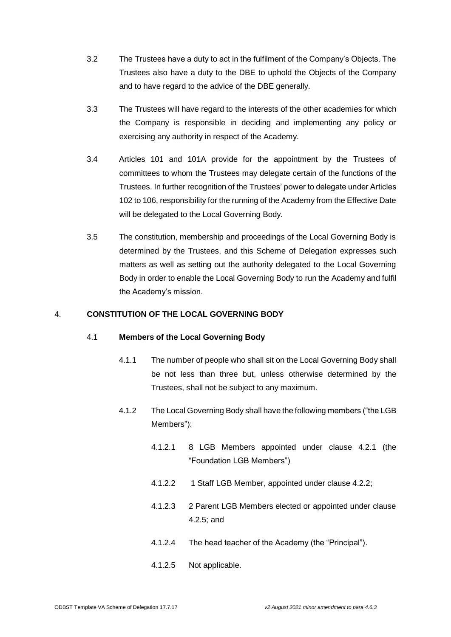- 3.2 The Trustees have a duty to act in the fulfilment of the Company's Objects. The Trustees also have a duty to the DBE to uphold the Objects of the Company and to have regard to the advice of the DBE generally.
- 3.3 The Trustees will have regard to the interests of the other academies for which the Company is responsible in deciding and implementing any policy or exercising any authority in respect of the Academy.
- 3.4 Articles 101 and 101A provide for the appointment by the Trustees of committees to whom the Trustees may delegate certain of the functions of the Trustees. In further recognition of the Trustees' power to delegate under Articles 102 to 106, responsibility for the running of the Academy from the Effective Date will be delegated to the Local Governing Body.
- 3.5 The constitution, membership and proceedings of the Local Governing Body is determined by the Trustees, and this Scheme of Delegation expresses such matters as well as setting out the authority delegated to the Local Governing Body in order to enable the Local Governing Body to run the Academy and fulfil the Academy's mission.

# 4. **CONSTITUTION OF THE LOCAL GOVERNING BODY**

## 4.1 **Members of the Local Governing Body**

- 4.1.1 The number of people who shall sit on the Local Governing Body shall be not less than three but, unless otherwise determined by the Trustees, shall not be subject to any maximum.
- 4.1.2 The Local Governing Body shall have the following members ("the LGB Members"):
	- 4.1.2.1 8 LGB Members appointed under clause 4.2.1 (the "Foundation LGB Members")
	- 4.1.2.2 1 Staff LGB Member, appointed under clause 4.2.2;
	- 4.1.2.3 2 Parent LGB Members elected or appointed under clause 4.2.5; and
	- 4.1.2.4 The head teacher of the Academy (the "Principal").
	- 4.1.2.5 Not applicable.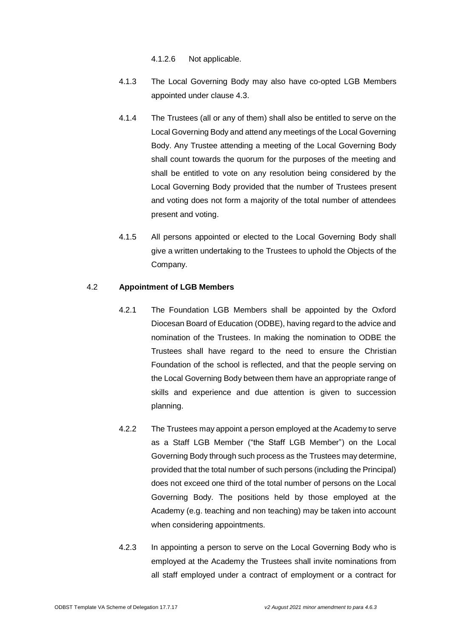4.1.2.6 Not applicable.

- 4.1.3 The Local Governing Body may also have co-opted LGB Members appointed under clause 4.3.
- 4.1.4 The Trustees (all or any of them) shall also be entitled to serve on the Local Governing Body and attend any meetings of the Local Governing Body. Any Trustee attending a meeting of the Local Governing Body shall count towards the quorum for the purposes of the meeting and shall be entitled to vote on any resolution being considered by the Local Governing Body provided that the number of Trustees present and voting does not form a majority of the total number of attendees present and voting.
- 4.1.5 All persons appointed or elected to the Local Governing Body shall give a written undertaking to the Trustees to uphold the Objects of the Company.

# 4.2 **Appointment of LGB Members**

- 4.2.1 The Foundation LGB Members shall be appointed by the Oxford Diocesan Board of Education (ODBE), having regard to the advice and nomination of the Trustees. In making the nomination to ODBE the Trustees shall have regard to the need to ensure the Christian Foundation of the school is reflected, and that the people serving on the Local Governing Body between them have an appropriate range of skills and experience and due attention is given to succession planning.
- 4.2.2 The Trustees may appoint a person employed at the Academy to serve as a Staff LGB Member ("the Staff LGB Member") on the Local Governing Body through such process as the Trustees may determine, provided that the total number of such persons (including the Principal) does not exceed one third of the total number of persons on the Local Governing Body. The positions held by those employed at the Academy (e.g. teaching and non teaching) may be taken into account when considering appointments.
- 4.2.3 In appointing a person to serve on the Local Governing Body who is employed at the Academy the Trustees shall invite nominations from all staff employed under a contract of employment or a contract for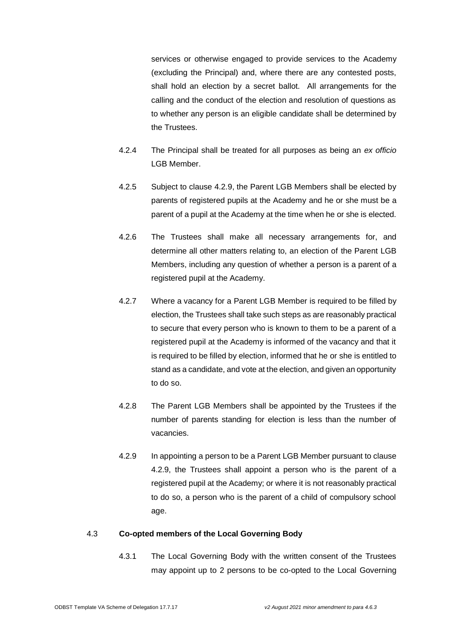services or otherwise engaged to provide services to the Academy (excluding the Principal) and, where there are any contested posts, shall hold an election by a secret ballot. All arrangements for the calling and the conduct of the election and resolution of questions as to whether any person is an eligible candidate shall be determined by the Trustees.

- 4.2.4 The Principal shall be treated for all purposes as being an *ex officio* LGB Member.
- 4.2.5 Subject to clause 4.2.9, the Parent LGB Members shall be elected by parents of registered pupils at the Academy and he or she must be a parent of a pupil at the Academy at the time when he or she is elected.
- 4.2.6 The Trustees shall make all necessary arrangements for, and determine all other matters relating to, an election of the Parent LGB Members, including any question of whether a person is a parent of a registered pupil at the Academy.
- 4.2.7 Where a vacancy for a Parent LGB Member is required to be filled by election, the Trustees shall take such steps as are reasonably practical to secure that every person who is known to them to be a parent of a registered pupil at the Academy is informed of the vacancy and that it is required to be filled by election, informed that he or she is entitled to stand as a candidate, and vote at the election, and given an opportunity to do so.
- 4.2.8 The Parent LGB Members shall be appointed by the Trustees if the number of parents standing for election is less than the number of vacancies.
- 4.2.9 In appointing a person to be a Parent LGB Member pursuant to clause 4.2.9, the Trustees shall appoint a person who is the parent of a registered pupil at the Academy; or where it is not reasonably practical to do so, a person who is the parent of a child of compulsory school age.

### 4.3 **Co-opted members of the Local Governing Body**

4.3.1 The Local Governing Body with the written consent of the Trustees may appoint up to 2 persons to be co-opted to the Local Governing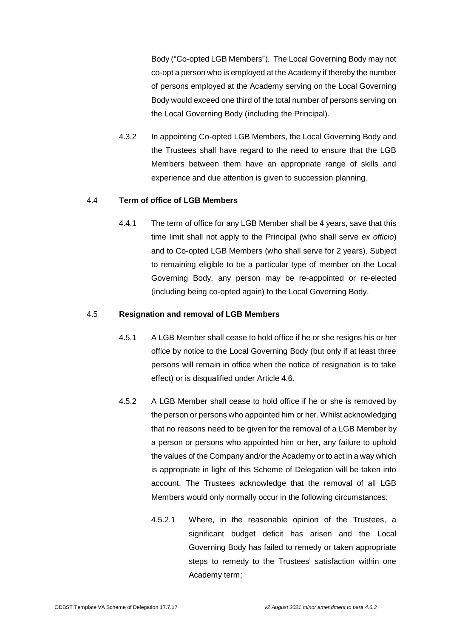Body ("Co-opted LGB Members"). The Local Governing Body may not co-opt a person who is employed at the Academy if thereby the number of persons employed at the Academy serving on the Local Governing Body would exceed one third of the total number of persons serving on the Local Governing Body (including the Principal).

4.3.2 In appointing Co-opted LGB Members, the Local Governing Body and the Trustees shall have regard to the need to ensure that the LGB Members between them have an appropriate range of skills and experience and due attention is given to succession planning.

# 4.4 **Term of office of LGB Members**

4.4.1 The term of office for any LGB Member shall be 4 years, save that this time limit shall not apply to the Principal (who shall serve *ex officio*) and to Co-opted LGB Members (who shall serve for 2 years). Subject to remaining eligible to be a particular type of member on the Local Governing Body, any person may be re-appointed or re-elected (including being co-opted again) to the Local Governing Body.

# 4.5 **Resignation and removal of LGB Members**

- 4.5.1 A LGB Member shall cease to hold office if he or she resigns his or her office by notice to the Local Governing Body (but only if at least three persons will remain in office when the notice of resignation is to take effect) or is disqualified under Article 4.6.
- 4.5.2 A LGB Member shall cease to hold office if he or she is removed by the person or persons who appointed him or her. Whilst acknowledging that no reasons need to be given for the removal of a LGB Member by a person or persons who appointed him or her, any failure to uphold the values of the Company and/or the Academy or to act in a way which is appropriate in light of this Scheme of Delegation will be taken into account. The Trustees acknowledge that the removal of all LGB Members would only normally occur in the following circumstances:
	- 4.5.2.1 Where, in the reasonable opinion of the Trustees, a significant budget deficit has arisen and the Local Governing Body has failed to remedy or taken appropriate steps to remedy to the Trustees' satisfaction within one Academy term;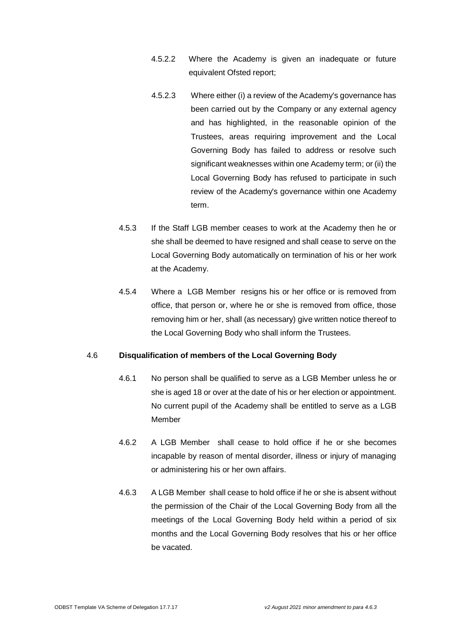- 4.5.2.2 Where the Academy is given an inadequate or future equivalent Ofsted report;
- 4.5.2.3 Where either (i) a review of the Academy's governance has been carried out by the Company or any external agency and has highlighted, in the reasonable opinion of the Trustees, areas requiring improvement and the Local Governing Body has failed to address or resolve such significant weaknesses within one Academy term; or (ii) the Local Governing Body has refused to participate in such review of the Academy's governance within one Academy term.
- 4.5.3 If the Staff LGB member ceases to work at the Academy then he or she shall be deemed to have resigned and shall cease to serve on the Local Governing Body automatically on termination of his or her work at the Academy.
- 4.5.4 Where a LGB Member resigns his or her office or is removed from office, that person or, where he or she is removed from office, those removing him or her, shall (as necessary) give written notice thereof to the Local Governing Body who shall inform the Trustees.

### 4.6 **Disqualification of members of the Local Governing Body**

- 4.6.1 No person shall be qualified to serve as a LGB Member unless he or she is aged 18 or over at the date of his or her election or appointment. No current pupil of the Academy shall be entitled to serve as a LGB Member
- 4.6.2 A LGB Member shall cease to hold office if he or she becomes incapable by reason of mental disorder, illness or injury of managing or administering his or her own affairs.
- 4.6.3 A LGB Member shall cease to hold office if he or she is absent without the permission of the Chair of the Local Governing Body from all the meetings of the Local Governing Body held within a period of six months and the Local Governing Body resolves that his or her office be vacated.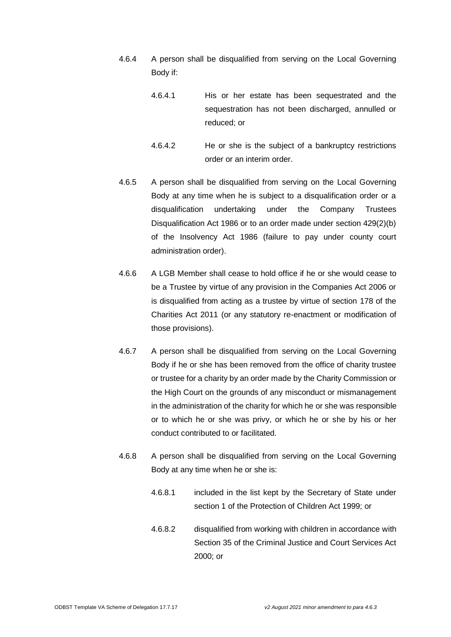- 4.6.4 A person shall be disqualified from serving on the Local Governing Body if:
	- 4.6.4.1 His or her estate has been sequestrated and the sequestration has not been discharged, annulled or reduced; or
	- 4.6.4.2 He or she is the subject of a bankruptcy restrictions order or an interim order.
- 4.6.5 A person shall be disqualified from serving on the Local Governing Body at any time when he is subject to a disqualification order or a disqualification undertaking under the Company Trustees Disqualification Act 1986 or to an order made under section 429(2)(b) of the Insolvency Act 1986 (failure to pay under county court administration order).
- 4.6.6 A LGB Member shall cease to hold office if he or she would cease to be a Trustee by virtue of any provision in the Companies Act 2006 or is disqualified from acting as a trustee by virtue of section 178 of the Charities Act 2011 (or any statutory re-enactment or modification of those provisions).
- 4.6.7 A person shall be disqualified from serving on the Local Governing Body if he or she has been removed from the office of charity trustee or trustee for a charity by an order made by the Charity Commission or the High Court on the grounds of any misconduct or mismanagement in the administration of the charity for which he or she was responsible or to which he or she was privy, or which he or she by his or her conduct contributed to or facilitated.
- 4.6.8 A person shall be disqualified from serving on the Local Governing Body at any time when he or she is:
	- 4.6.8.1 included in the list kept by the Secretary of State under section 1 of the Protection of Children Act 1999; or
	- 4.6.8.2 disqualified from working with children in accordance with Section 35 of the Criminal Justice and Court Services Act 2000; or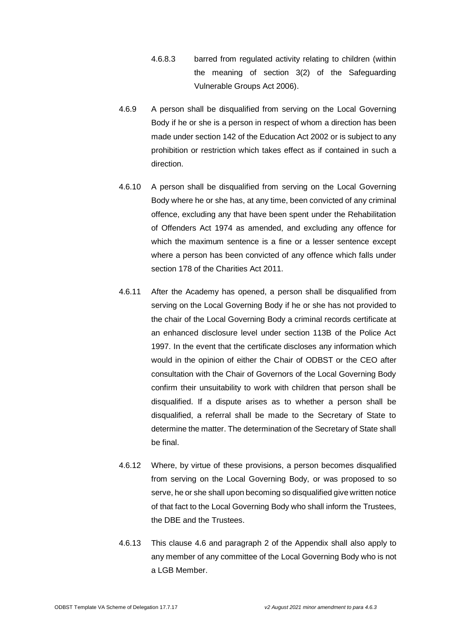- 4.6.8.3 barred from regulated activity relating to children (within the meaning of section 3(2) of the Safeguarding Vulnerable Groups Act 2006).
- 4.6.9 A person shall be disqualified from serving on the Local Governing Body if he or she is a person in respect of whom a direction has been made under section 142 of the Education Act 2002 or is subject to any prohibition or restriction which takes effect as if contained in such a direction.
- 4.6.10 A person shall be disqualified from serving on the Local Governing Body where he or she has, at any time, been convicted of any criminal offence, excluding any that have been spent under the Rehabilitation of Offenders Act 1974 as amended, and excluding any offence for which the maximum sentence is a fine or a lesser sentence except where a person has been convicted of any offence which falls under section 178 of the Charities Act 2011.
- 4.6.11 After the Academy has opened, a person shall be disqualified from serving on the Local Governing Body if he or she has not provided to the chair of the Local Governing Body a criminal records certificate at an enhanced disclosure level under section 113B of the Police Act 1997. In the event that the certificate discloses any information which would in the opinion of either the Chair of ODBST or the CEO after consultation with the Chair of Governors of the Local Governing Body confirm their unsuitability to work with children that person shall be disqualified. If a dispute arises as to whether a person shall be disqualified, a referral shall be made to the Secretary of State to determine the matter. The determination of the Secretary of State shall be final.
- 4.6.12 Where, by virtue of these provisions, a person becomes disqualified from serving on the Local Governing Body, or was proposed to so serve, he or she shall upon becoming so disqualified give written notice of that fact to the Local Governing Body who shall inform the Trustees, the DBE and the Trustees.
- 4.6.13 This clause 4.6 and paragraph 2 of the Appendix shall also apply to any member of any committee of the Local Governing Body who is not a LGB Member.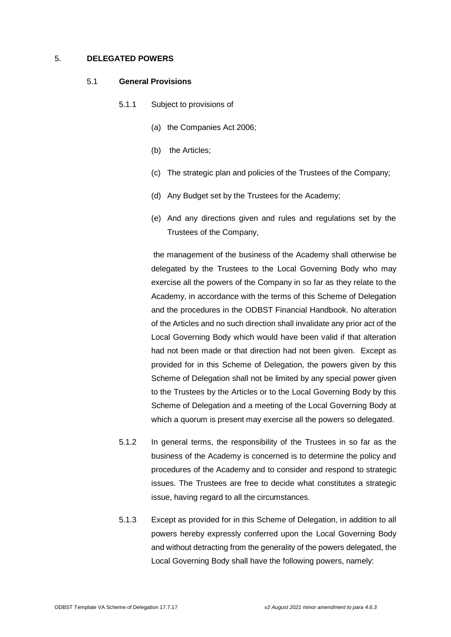### 5. **DELEGATED POWERS**

#### 5.1 **General Provisions**

- 5.1.1 Subject to provisions of
	- (a) the Companies Act 2006;
	- (b) the Articles;
	- (c) The strategic plan and policies of the Trustees of the Company;
	- (d) Any Budget set by the Trustees for the Academy;
	- (e) And any directions given and rules and regulations set by the Trustees of the Company,

the management of the business of the Academy shall otherwise be delegated by the Trustees to the Local Governing Body who may exercise all the powers of the Company in so far as they relate to the Academy, in accordance with the terms of this Scheme of Delegation and the procedures in the ODBST Financial Handbook. No alteration of the Articles and no such direction shall invalidate any prior act of the Local Governing Body which would have been valid if that alteration had not been made or that direction had not been given. Except as provided for in this Scheme of Delegation, the powers given by this Scheme of Delegation shall not be limited by any special power given to the Trustees by the Articles or to the Local Governing Body by this Scheme of Delegation and a meeting of the Local Governing Body at which a quorum is present may exercise all the powers so delegated.

- 5.1.2 In general terms, the responsibility of the Trustees in so far as the business of the Academy is concerned is to determine the policy and procedures of the Academy and to consider and respond to strategic issues. The Trustees are free to decide what constitutes a strategic issue, having regard to all the circumstances.
- 5.1.3 Except as provided for in this Scheme of Delegation, in addition to all powers hereby expressly conferred upon the Local Governing Body and without detracting from the generality of the powers delegated, the Local Governing Body shall have the following powers, namely: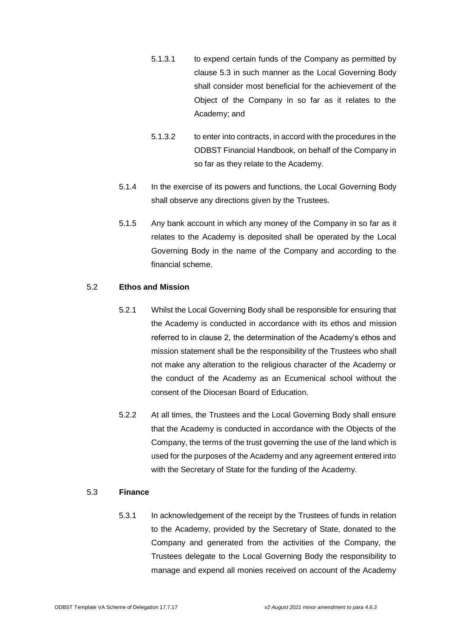- 5.1.3.1 to expend certain funds of the Company as permitted by clause 5.3 in such manner as the Local Governing Body shall consider most beneficial for the achievement of the Object of the Company in so far as it relates to the Academy; and
- 5.1.3.2 to enter into contracts, in accord with the procedures in the ODBST Financial Handbook, on behalf of the Company in so far as they relate to the Academy.
- 5.1.4 In the exercise of its powers and functions, the Local Governing Body shall observe any directions given by the Trustees.
- 5.1.5 Any bank account in which any money of the Company in so far as it relates to the Academy is deposited shall be operated by the Local Governing Body in the name of the Company and according to the financial scheme.

### 5.2 **Ethos and Mission**

- 5.2.1 Whilst the Local Governing Body shall be responsible for ensuring that the Academy is conducted in accordance with its ethos and mission referred to in clause 2, the determination of the Academy's ethos and mission statement shall be the responsibility of the Trustees who shall not make any alteration to the religious character of the Academy or the conduct of the Academy as an Ecumenical school without the consent of the Diocesan Board of Education.
- 5.2.2 At all times, the Trustees and the Local Governing Body shall ensure that the Academy is conducted in accordance with the Objects of the Company, the terms of the trust governing the use of the land which is used for the purposes of the Academy and any agreement entered into with the Secretary of State for the funding of the Academy.

### 5.3 **Finance**

5.3.1 In acknowledgement of the receipt by the Trustees of funds in relation to the Academy, provided by the Secretary of State, donated to the Company and generated from the activities of the Company, the Trustees delegate to the Local Governing Body the responsibility to manage and expend all monies received on account of the Academy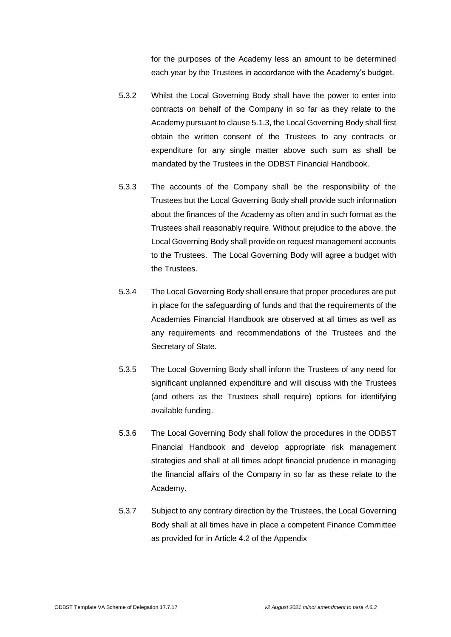for the purposes of the Academy less an amount to be determined each year by the Trustees in accordance with the Academy's budget.

- 5.3.2 Whilst the Local Governing Body shall have the power to enter into contracts on behalf of the Company in so far as they relate to the Academy pursuant to clause 5.1.3, the Local Governing Body shall first obtain the written consent of the Trustees to any contracts or expenditure for any single matter above such sum as shall be mandated by the Trustees in the ODBST Financial Handbook.
- 5.3.3 The accounts of the Company shall be the responsibility of the Trustees but the Local Governing Body shall provide such information about the finances of the Academy as often and in such format as the Trustees shall reasonably require. Without prejudice to the above, the Local Governing Body shall provide on request management accounts to the Trustees. The Local Governing Body will agree a budget with the Trustees.
- 5.3.4 The Local Governing Body shall ensure that proper procedures are put in place for the safeguarding of funds and that the requirements of the Academies Financial Handbook are observed at all times as well as any requirements and recommendations of the Trustees and the Secretary of State.
- 5.3.5 The Local Governing Body shall inform the Trustees of any need for significant unplanned expenditure and will discuss with the Trustees (and others as the Trustees shall require) options for identifying available funding.
- 5.3.6 The Local Governing Body shall follow the procedures in the ODBST Financial Handbook and develop appropriate risk management strategies and shall at all times adopt financial prudence in managing the financial affairs of the Company in so far as these relate to the Academy.
- 5.3.7 Subject to any contrary direction by the Trustees, the Local Governing Body shall at all times have in place a competent Finance Committee as provided for in Article 4.2 of the Appendix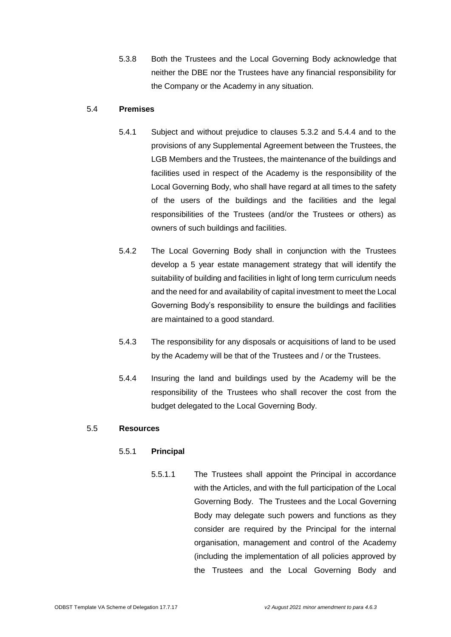5.3.8 Both the Trustees and the Local Governing Body acknowledge that neither the DBE nor the Trustees have any financial responsibility for the Company or the Academy in any situation.

# 5.4 **Premises**

- 5.4.1 Subject and without prejudice to clauses 5.3.2 and 5.4.4 and to the provisions of any Supplemental Agreement between the Trustees, the LGB Members and the Trustees, the maintenance of the buildings and facilities used in respect of the Academy is the responsibility of the Local Governing Body, who shall have regard at all times to the safety of the users of the buildings and the facilities and the legal responsibilities of the Trustees (and/or the Trustees or others) as owners of such buildings and facilities.
- 5.4.2 The Local Governing Body shall in conjunction with the Trustees develop a 5 year estate management strategy that will identify the suitability of building and facilities in light of long term curriculum needs and the need for and availability of capital investment to meet the Local Governing Body's responsibility to ensure the buildings and facilities are maintained to a good standard.
- 5.4.3 The responsibility for any disposals or acquisitions of land to be used by the Academy will be that of the Trustees and / or the Trustees.
- 5.4.4 Insuring the land and buildings used by the Academy will be the responsibility of the Trustees who shall recover the cost from the budget delegated to the Local Governing Body.

### 5.5 **Resources**

# 5.5.1 **Principal**

5.5.1.1 The Trustees shall appoint the Principal in accordance with the Articles, and with the full participation of the Local Governing Body. The Trustees and the Local Governing Body may delegate such powers and functions as they consider are required by the Principal for the internal organisation, management and control of the Academy (including the implementation of all policies approved by the Trustees and the Local Governing Body and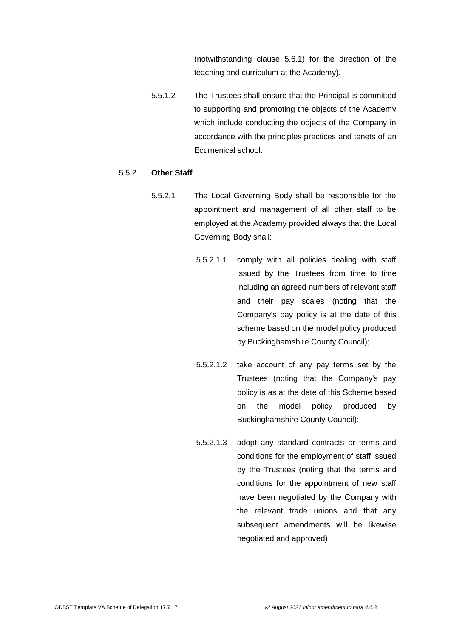(notwithstanding clause 5.6.1) for the direction of the teaching and curriculum at the Academy).

5.5.1.2 The Trustees shall ensure that the Principal is committed to supporting and promoting the objects of the Academy which include conducting the objects of the Company in accordance with the principles practices and tenets of an Ecumenical school.

## 5.5.2 **Other Staff**

- 5.5.2.1 The Local Governing Body shall be responsible for the appointment and management of all other staff to be employed at the Academy provided always that the Local Governing Body shall:
	- 5.5.2.1.1 comply with all policies dealing with staff issued by the Trustees from time to time including an agreed numbers of relevant staff and their pay scales (noting that the Company's pay policy is at the date of this scheme based on the model policy produced by Buckinghamshire County Council);
	- 5.5.2.1.2 take account of any pay terms set by the Trustees (noting that the Company's pay policy is as at the date of this Scheme based on the model policy produced by Buckinghamshire County Council);
	- 5.5.2.1.3 adopt any standard contracts or terms and conditions for the employment of staff issued by the Trustees (noting that the terms and conditions for the appointment of new staff have been negotiated by the Company with the relevant trade unions and that any subsequent amendments will be likewise negotiated and approved);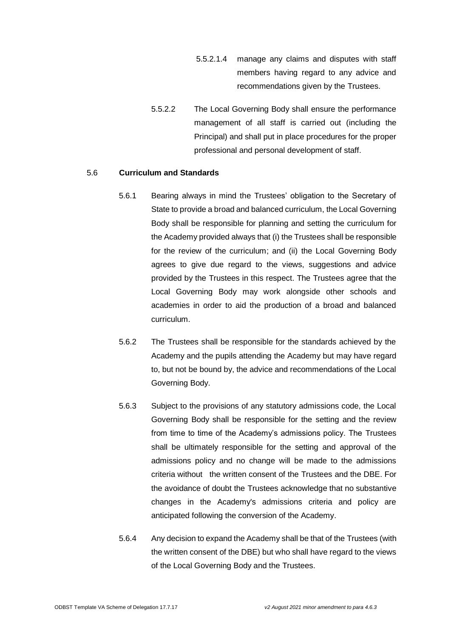- 5.5.2.1.4 manage any claims and disputes with staff members having regard to any advice and recommendations given by the Trustees.
- 5.5.2.2 The Local Governing Body shall ensure the performance management of all staff is carried out (including the Principal) and shall put in place procedures for the proper professional and personal development of staff.

#### 5.6 **Curriculum and Standards**

- 5.6.1 Bearing always in mind the Trustees' obligation to the Secretary of State to provide a broad and balanced curriculum, the Local Governing Body shall be responsible for planning and setting the curriculum for the Academy provided always that (i) the Trustees shall be responsible for the review of the curriculum; and (ii) the Local Governing Body agrees to give due regard to the views, suggestions and advice provided by the Trustees in this respect. The Trustees agree that the Local Governing Body may work alongside other schools and academies in order to aid the production of a broad and balanced curriculum.
- 5.6.2 The Trustees shall be responsible for the standards achieved by the Academy and the pupils attending the Academy but may have regard to, but not be bound by, the advice and recommendations of the Local Governing Body.
- 5.6.3 Subject to the provisions of any statutory admissions code, the Local Governing Body shall be responsible for the setting and the review from time to time of the Academy's admissions policy. The Trustees shall be ultimately responsible for the setting and approval of the admissions policy and no change will be made to the admissions criteria without the written consent of the Trustees and the DBE. For the avoidance of doubt the Trustees acknowledge that no substantive changes in the Academy's admissions criteria and policy are anticipated following the conversion of the Academy.
- 5.6.4 Any decision to expand the Academy shall be that of the Trustees (with the written consent of the DBE) but who shall have regard to the views of the Local Governing Body and the Trustees.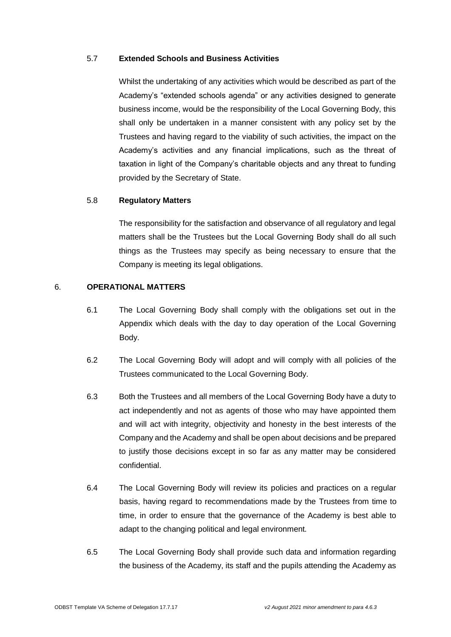# 5.7 **Extended Schools and Business Activities**

Whilst the undertaking of any activities which would be described as part of the Academy's "extended schools agenda" or any activities designed to generate business income, would be the responsibility of the Local Governing Body, this shall only be undertaken in a manner consistent with any policy set by the Trustees and having regard to the viability of such activities, the impact on the Academy's activities and any financial implications, such as the threat of taxation in light of the Company's charitable objects and any threat to funding provided by the Secretary of State.

## 5.8 **Regulatory Matters**

The responsibility for the satisfaction and observance of all regulatory and legal matters shall be the Trustees but the Local Governing Body shall do all such things as the Trustees may specify as being necessary to ensure that the Company is meeting its legal obligations.

# 6. **OPERATIONAL MATTERS**

- 6.1 The Local Governing Body shall comply with the obligations set out in the Appendix which deals with the day to day operation of the Local Governing Body.
- 6.2 The Local Governing Body will adopt and will comply with all policies of the Trustees communicated to the Local Governing Body.
- 6.3 Both the Trustees and all members of the Local Governing Body have a duty to act independently and not as agents of those who may have appointed them and will act with integrity, objectivity and honesty in the best interests of the Company and the Academy and shall be open about decisions and be prepared to justify those decisions except in so far as any matter may be considered confidential.
- 6.4 The Local Governing Body will review its policies and practices on a regular basis, having regard to recommendations made by the Trustees from time to time, in order to ensure that the governance of the Academy is best able to adapt to the changing political and legal environment.
- 6.5 The Local Governing Body shall provide such data and information regarding the business of the Academy, its staff and the pupils attending the Academy as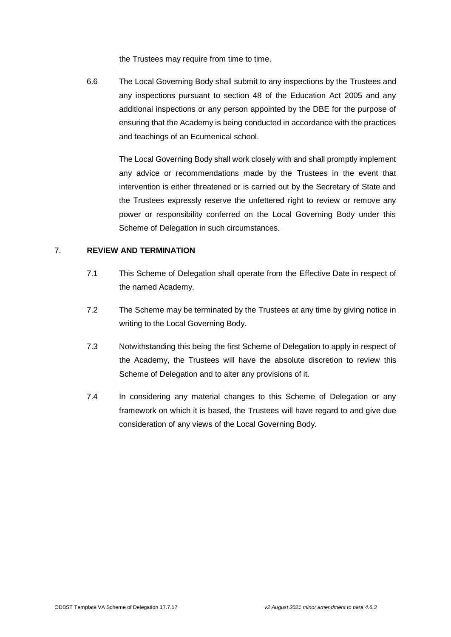the Trustees may require from time to time.

6.6 The Local Governing Body shall submit to any inspections by the Trustees and any inspections pursuant to section 48 of the Education Act 2005 and any additional inspections or any person appointed by the DBE for the purpose of ensuring that the Academy is being conducted in accordance with the practices and teachings of an Ecumenical school.

> The Local Governing Body shall work closely with and shall promptly implement any advice or recommendations made by the Trustees in the event that intervention is either threatened or is carried out by the Secretary of State and the Trustees expressly reserve the unfettered right to review or remove any power or responsibility conferred on the Local Governing Body under this Scheme of Delegation in such circumstances.

#### 7. **REVIEW AND TERMINATION**

- 7.1 This Scheme of Delegation shall operate from the Effective Date in respect of the named Academy.
- 7.2 The Scheme may be terminated by the Trustees at any time by giving notice in writing to the Local Governing Body.
- 7.3 Notwithstanding this being the first Scheme of Delegation to apply in respect of the Academy, the Trustees will have the absolute discretion to review this Scheme of Delegation and to alter any provisions of it.
- 7.4 In considering any material changes to this Scheme of Delegation or any framework on which it is based, the Trustees will have regard to and give due consideration of any views of the Local Governing Body.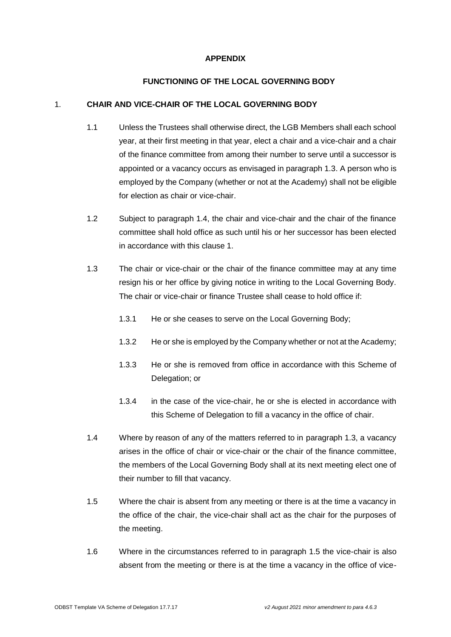# **APPENDIX**

# **FUNCTIONING OF THE LOCAL GOVERNING BODY**

## 1. **CHAIR AND VICE-CHAIR OF THE LOCAL GOVERNING BODY**

- 1.1 Unless the Trustees shall otherwise direct, the LGB Members shall each school year, at their first meeting in that year, elect a chair and a vice-chair and a chair of the finance committee from among their number to serve until a successor is appointed or a vacancy occurs as envisaged in paragraph 1.3. A person who is employed by the Company (whether or not at the Academy) shall not be eligible for election as chair or vice-chair.
- 1.2 Subject to paragraph 1.4, the chair and vice-chair and the chair of the finance committee shall hold office as such until his or her successor has been elected in accordance with this clause 1.
- 1.3 The chair or vice-chair or the chair of the finance committee may at any time resign his or her office by giving notice in writing to the Local Governing Body. The chair or vice-chair or finance Trustee shall cease to hold office if:
	- 1.3.1 He or she ceases to serve on the Local Governing Body;
	- 1.3.2 He or she is employed by the Company whether or not at the Academy;
	- 1.3.3 He or she is removed from office in accordance with this Scheme of Delegation; or
	- 1.3.4 in the case of the vice-chair, he or she is elected in accordance with this Scheme of Delegation to fill a vacancy in the office of chair.
- 1.4 Where by reason of any of the matters referred to in paragraph 1.3, a vacancy arises in the office of chair or vice-chair or the chair of the finance committee, the members of the Local Governing Body shall at its next meeting elect one of their number to fill that vacancy.
- 1.5 Where the chair is absent from any meeting or there is at the time a vacancy in the office of the chair, the vice-chair shall act as the chair for the purposes of the meeting.
- 1.6 Where in the circumstances referred to in paragraph 1.5 the vice-chair is also absent from the meeting or there is at the time a vacancy in the office of vice-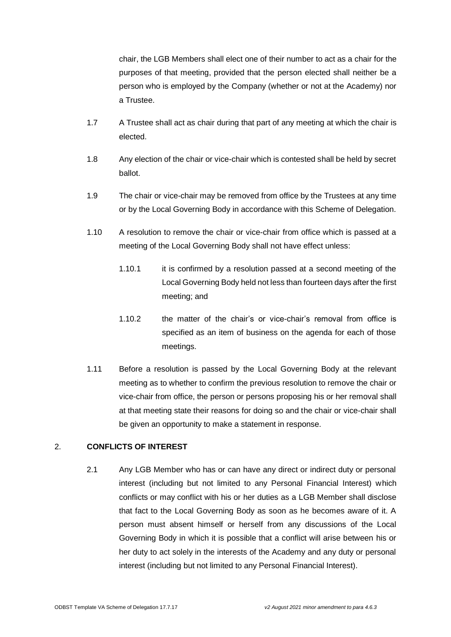chair, the LGB Members shall elect one of their number to act as a chair for the purposes of that meeting, provided that the person elected shall neither be a person who is employed by the Company (whether or not at the Academy) nor a Trustee.

- 1.7 A Trustee shall act as chair during that part of any meeting at which the chair is elected.
- 1.8 Any election of the chair or vice-chair which is contested shall be held by secret ballot.
- 1.9 The chair or vice-chair may be removed from office by the Trustees at any time or by the Local Governing Body in accordance with this Scheme of Delegation.
- 1.10 A resolution to remove the chair or vice-chair from office which is passed at a meeting of the Local Governing Body shall not have effect unless:
	- 1.10.1 it is confirmed by a resolution passed at a second meeting of the Local Governing Body held not less than fourteen days after the first meeting; and
	- 1.10.2 the matter of the chair's or vice-chair's removal from office is specified as an item of business on the agenda for each of those meetings.
- 1.11 Before a resolution is passed by the Local Governing Body at the relevant meeting as to whether to confirm the previous resolution to remove the chair or vice-chair from office, the person or persons proposing his or her removal shall at that meeting state their reasons for doing so and the chair or vice-chair shall be given an opportunity to make a statement in response.

### 2. **CONFLICTS OF INTEREST**

2.1 Any LGB Member who has or can have any direct or indirect duty or personal interest (including but not limited to any Personal Financial Interest) which conflicts or may conflict with his or her duties as a LGB Member shall disclose that fact to the Local Governing Body as soon as he becomes aware of it. A person must absent himself or herself from any discussions of the Local Governing Body in which it is possible that a conflict will arise between his or her duty to act solely in the interests of the Academy and any duty or personal interest (including but not limited to any Personal Financial Interest).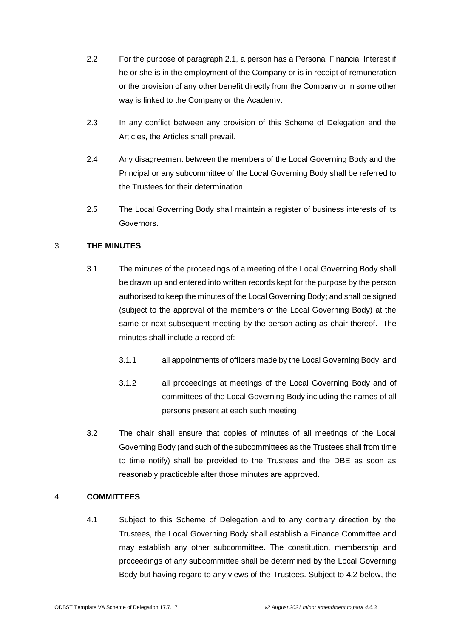- 2.2 For the purpose of paragraph 2.1, a person has a Personal Financial Interest if he or she is in the employment of the Company or is in receipt of remuneration or the provision of any other benefit directly from the Company or in some other way is linked to the Company or the Academy.
- 2.3 In any conflict between any provision of this Scheme of Delegation and the Articles, the Articles shall prevail.
- 2.4 Any disagreement between the members of the Local Governing Body and the Principal or any subcommittee of the Local Governing Body shall be referred to the Trustees for their determination.
- 2.5 The Local Governing Body shall maintain a register of business interests of its Governors.

# 3. **THE MINUTES**

- 3.1 The minutes of the proceedings of a meeting of the Local Governing Body shall be drawn up and entered into written records kept for the purpose by the person authorised to keep the minutes of the Local Governing Body; and shall be signed (subject to the approval of the members of the Local Governing Body) at the same or next subsequent meeting by the person acting as chair thereof. The minutes shall include a record of:
	- 3.1.1 all appointments of officers made by the Local Governing Body; and
	- 3.1.2 all proceedings at meetings of the Local Governing Body and of committees of the Local Governing Body including the names of all persons present at each such meeting.
- 3.2 The chair shall ensure that copies of minutes of all meetings of the Local Governing Body (and such of the subcommittees as the Trustees shall from time to time notify) shall be provided to the Trustees and the DBE as soon as reasonably practicable after those minutes are approved.

### 4. **COMMITTEES**

4.1 Subject to this Scheme of Delegation and to any contrary direction by the Trustees, the Local Governing Body shall establish a Finance Committee and may establish any other subcommittee. The constitution, membership and proceedings of any subcommittee shall be determined by the Local Governing Body but having regard to any views of the Trustees. Subject to 4.2 below, the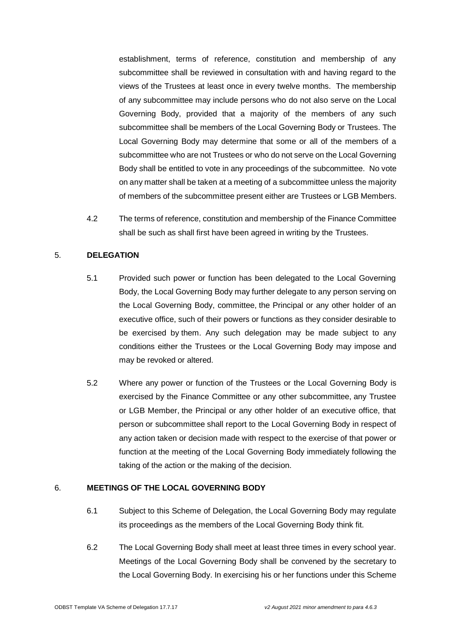establishment, terms of reference, constitution and membership of any subcommittee shall be reviewed in consultation with and having regard to the views of the Trustees at least once in every twelve months. The membership of any subcommittee may include persons who do not also serve on the Local Governing Body, provided that a majority of the members of any such subcommittee shall be members of the Local Governing Body or Trustees. The Local Governing Body may determine that some or all of the members of a subcommittee who are not Trustees or who do not serve on the Local Governing Body shall be entitled to vote in any proceedings of the subcommittee. No vote on any matter shall be taken at a meeting of a subcommittee unless the majority of members of the subcommittee present either are Trustees or LGB Members.

4.2 The terms of reference, constitution and membership of the Finance Committee shall be such as shall first have been agreed in writing by the Trustees.

# 5. **DELEGATION**

- 5.1 Provided such power or function has been delegated to the Local Governing Body, the Local Governing Body may further delegate to any person serving on the Local Governing Body, committee, the Principal or any other holder of an executive office, such of their powers or functions as they consider desirable to be exercised by them. Any such delegation may be made subject to any conditions either the Trustees or the Local Governing Body may impose and may be revoked or altered.
- 5.2 Where any power or function of the Trustees or the Local Governing Body is exercised by the Finance Committee or any other subcommittee, any Trustee or LGB Member, the Principal or any other holder of an executive office, that person or subcommittee shall report to the Local Governing Body in respect of any action taken or decision made with respect to the exercise of that power or function at the meeting of the Local Governing Body immediately following the taking of the action or the making of the decision.

## 6. **MEETINGS OF THE LOCAL GOVERNING BODY**

- 6.1 Subject to this Scheme of Delegation, the Local Governing Body may regulate its proceedings as the members of the Local Governing Body think fit.
- 6.2 The Local Governing Body shall meet at least three times in every school year. Meetings of the Local Governing Body shall be convened by the secretary to the Local Governing Body. In exercising his or her functions under this Scheme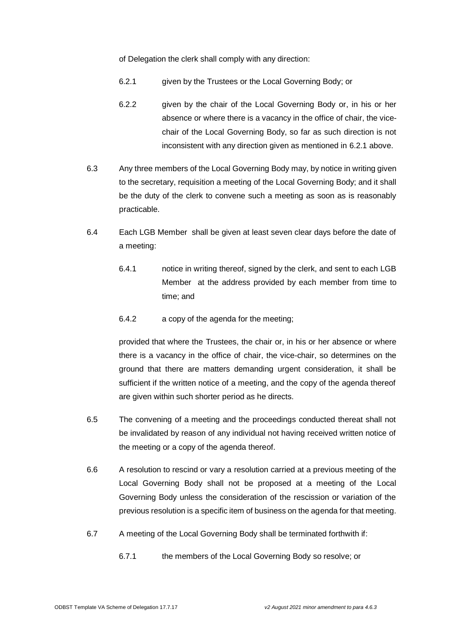of Delegation the clerk shall comply with any direction:

- 6.2.1 given by the Trustees or the Local Governing Body; or
- 6.2.2 given by the chair of the Local Governing Body or, in his or her absence or where there is a vacancy in the office of chair, the vicechair of the Local Governing Body, so far as such direction is not inconsistent with any direction given as mentioned in 6.2.1 above.
- 6.3 Any three members of the Local Governing Body may, by notice in writing given to the secretary, requisition a meeting of the Local Governing Body; and it shall be the duty of the clerk to convene such a meeting as soon as is reasonably practicable.
- 6.4 Each LGB Member shall be given at least seven clear days before the date of a meeting:
	- 6.4.1 notice in writing thereof, signed by the clerk, and sent to each LGB Member at the address provided by each member from time to time; and
	- 6.4.2 a copy of the agenda for the meeting;

provided that where the Trustees, the chair or, in his or her absence or where there is a vacancy in the office of chair, the vice-chair, so determines on the ground that there are matters demanding urgent consideration, it shall be sufficient if the written notice of a meeting, and the copy of the agenda thereof are given within such shorter period as he directs.

- 6.5 The convening of a meeting and the proceedings conducted thereat shall not be invalidated by reason of any individual not having received written notice of the meeting or a copy of the agenda thereof.
- 6.6 A resolution to rescind or vary a resolution carried at a previous meeting of the Local Governing Body shall not be proposed at a meeting of the Local Governing Body unless the consideration of the rescission or variation of the previous resolution is a specific item of business on the agenda for that meeting.
- 6.7 A meeting of the Local Governing Body shall be terminated forthwith if:
	- 6.7.1 the members of the Local Governing Body so resolve; or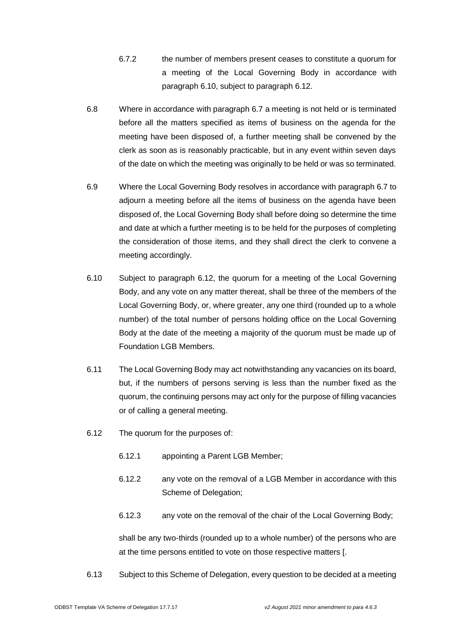- 6.7.2 the number of members present ceases to constitute a quorum for a meeting of the Local Governing Body in accordance with paragraph 6.10, subject to paragraph 6.12.
- 6.8 Where in accordance with paragraph 6.7 a meeting is not held or is terminated before all the matters specified as items of business on the agenda for the meeting have been disposed of, a further meeting shall be convened by the clerk as soon as is reasonably practicable, but in any event within seven days of the date on which the meeting was originally to be held or was so terminated.
- 6.9 Where the Local Governing Body resolves in accordance with paragraph 6.7 to adjourn a meeting before all the items of business on the agenda have been disposed of, the Local Governing Body shall before doing so determine the time and date at which a further meeting is to be held for the purposes of completing the consideration of those items, and they shall direct the clerk to convene a meeting accordingly.
- 6.10 Subject to paragraph 6.12, the quorum for a meeting of the Local Governing Body, and any vote on any matter thereat, shall be three of the members of the Local Governing Body, or, where greater, any one third (rounded up to a whole number) of the total number of persons holding office on the Local Governing Body at the date of the meeting a majority of the quorum must be made up of Foundation LGB Members.
- 6.11 The Local Governing Body may act notwithstanding any vacancies on its board, but, if the numbers of persons serving is less than the number fixed as the quorum, the continuing persons may act only for the purpose of filling vacancies or of calling a general meeting.
- 6.12 The quorum for the purposes of:
	- 6.12.1 appointing a Parent LGB Member;
	- 6.12.2 any vote on the removal of a LGB Member in accordance with this Scheme of Delegation;
	- 6.12.3 any vote on the removal of the chair of the Local Governing Body;

shall be any two-thirds (rounded up to a whole number) of the persons who are at the time persons entitled to vote on those respective matters [.

6.13 Subject to this Scheme of Delegation, every question to be decided at a meeting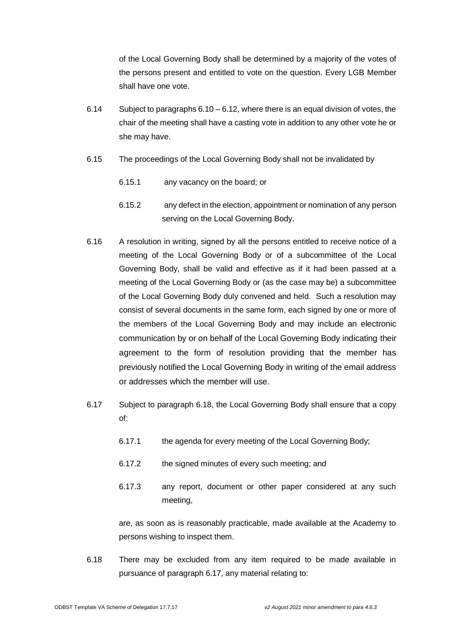of the Local Governing Body shall be determined by a majority of the votes of the persons present and entitled to vote on the question. Every LGB Member shall have one vote.

- 6.14 Subject to paragraphs 6.10 6.12, where there is an equal division of votes, the chair of the meeting shall have a casting vote in addition to any other vote he or she may have.
- 6.15 The proceedings of the Local Governing Body shall not be invalidated by
	- 6.15.1 any vacancy on the board; or
	- 6.15.2 any defect in the election, appointment or nomination of any person serving on the Local Governing Body.
- 6.16 A resolution in writing, signed by all the persons entitled to receive notice of a meeting of the Local Governing Body or of a subcommittee of the Local Governing Body, shall be valid and effective as if it had been passed at a meeting of the Local Governing Body or (as the case may be) a subcommittee of the Local Governing Body duly convened and held. Such a resolution may consist of several documents in the same form, each signed by one or more of the members of the Local Governing Body and may include an electronic communication by or on behalf of the Local Governing Body indicating their agreement to the form of resolution providing that the member has previously notified the Local Governing Body in writing of the email address or addresses which the member will use.
- 6.17 Subject to paragraph 6.18, the Local Governing Body shall ensure that a copy of:
	- 6.17.1 the agenda for every meeting of the Local Governing Body;
	- 6.17.2 the signed minutes of every such meeting; and
	- 6.17.3 any report, document or other paper considered at any such meeting,

are, as soon as is reasonably practicable, made available at the Academy to persons wishing to inspect them.

6.18 There may be excluded from any item required to be made available in pursuance of paragraph 6.17, any material relating to: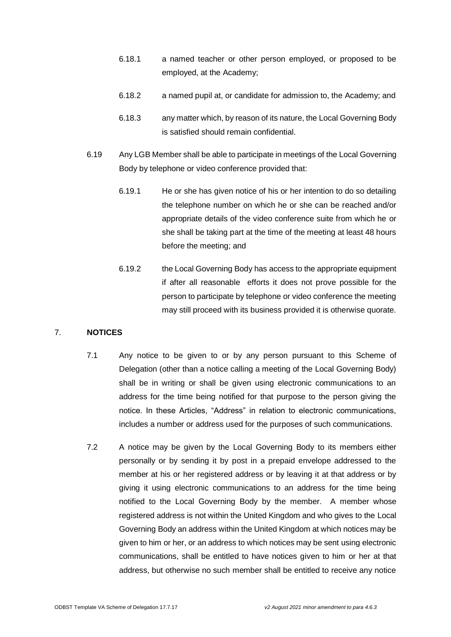- 6.18.1 a named teacher or other person employed, or proposed to be employed, at the Academy;
- 6.18.2 a named pupil at, or candidate for admission to, the Academy; and
- 6.18.3 any matter which, by reason of its nature, the Local Governing Body is satisfied should remain confidential.
- 6.19 Any LGB Member shall be able to participate in meetings of the Local Governing Body by telephone or video conference provided that:
	- 6.19.1 He or she has given notice of his or her intention to do so detailing the telephone number on which he or she can be reached and/or appropriate details of the video conference suite from which he or she shall be taking part at the time of the meeting at least 48 hours before the meeting; and
	- 6.19.2 the Local Governing Body has access to the appropriate equipment if after all reasonable efforts it does not prove possible for the person to participate by telephone or video conference the meeting may still proceed with its business provided it is otherwise quorate.

# 7. **NOTICES**

- 7.1 Any notice to be given to or by any person pursuant to this Scheme of Delegation (other than a notice calling a meeting of the Local Governing Body) shall be in writing or shall be given using electronic communications to an address for the time being notified for that purpose to the person giving the notice. In these Articles, "Address" in relation to electronic communications, includes a number or address used for the purposes of such communications.
- 7.2 A notice may be given by the Local Governing Body to its members either personally or by sending it by post in a prepaid envelope addressed to the member at his or her registered address or by leaving it at that address or by giving it using electronic communications to an address for the time being notified to the Local Governing Body by the member. A member whose registered address is not within the United Kingdom and who gives to the Local Governing Body an address within the United Kingdom at which notices may be given to him or her, or an address to which notices may be sent using electronic communications, shall be entitled to have notices given to him or her at that address, but otherwise no such member shall be entitled to receive any notice